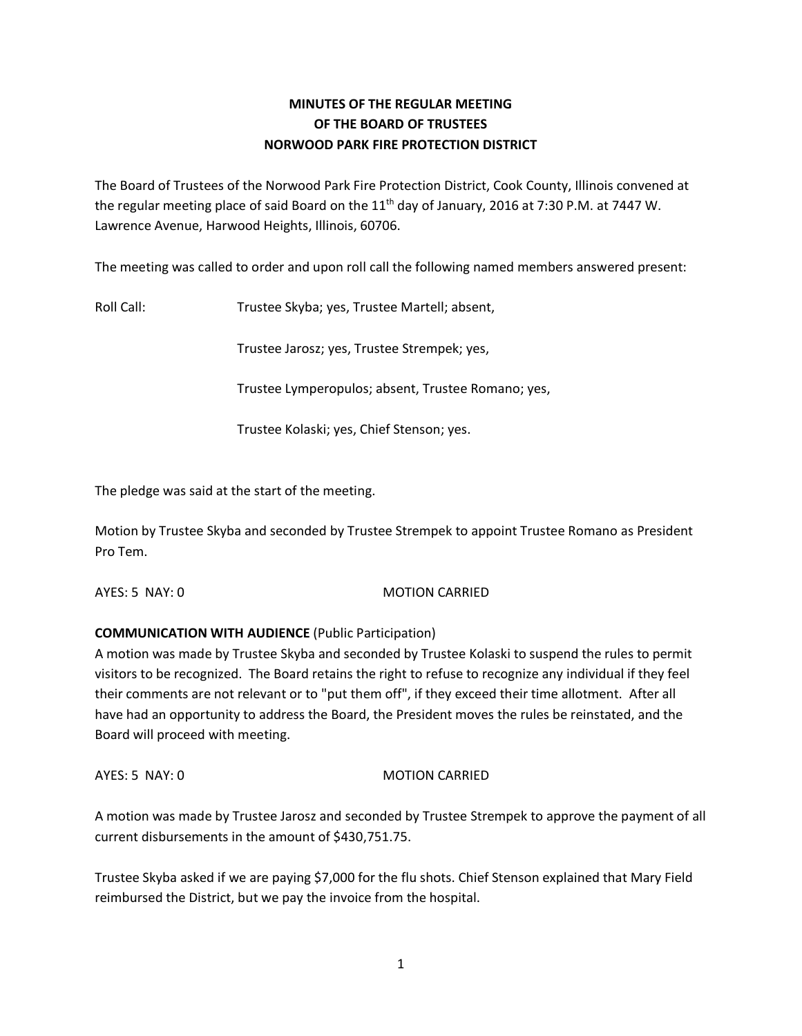# **MINUTES OF THE REGULAR MEETING OF THE BOARD OF TRUSTEES NORWOOD PARK FIRE PROTECTION DISTRICT**

The Board of Trustees of the Norwood Park Fire Protection District, Cook County, Illinois convened at the regular meeting place of said Board on the  $11<sup>th</sup>$  day of January, 2016 at 7:30 P.M. at 7447 W. Lawrence Avenue, Harwood Heights, Illinois, 60706.

The meeting was called to order and upon roll call the following named members answered present:

Roll Call: Trustee Skyba; yes, Trustee Martell; absent,

Trustee Jarosz; yes, Trustee Strempek; yes,

Trustee Lymperopulos; absent, Trustee Romano; yes,

Trustee Kolaski; yes, Chief Stenson; yes.

The pledge was said at the start of the meeting.

Motion by Trustee Skyba and seconded by Trustee Strempek to appoint Trustee Romano as President Pro Tem.

AYES: 5 NAY: 0 MOTION CARRIED

# **COMMUNICATION WITH AUDIENCE** (Public Participation)

A motion was made by Trustee Skyba and seconded by Trustee Kolaski to suspend the rules to permit visitors to be recognized. The Board retains the right to refuse to recognize any individual if they feel their comments are not relevant or to "put them off", if they exceed their time allotment. After all have had an opportunity to address the Board, the President moves the rules be reinstated, and the Board will proceed with meeting.

AYES: 5 NAY: 0 MOTION CARRIED

A motion was made by Trustee Jarosz and seconded by Trustee Strempek to approve the payment of all current disbursements in the amount of \$430,751.75.

Trustee Skyba asked if we are paying \$7,000 for the flu shots. Chief Stenson explained that Mary Field reimbursed the District, but we pay the invoice from the hospital.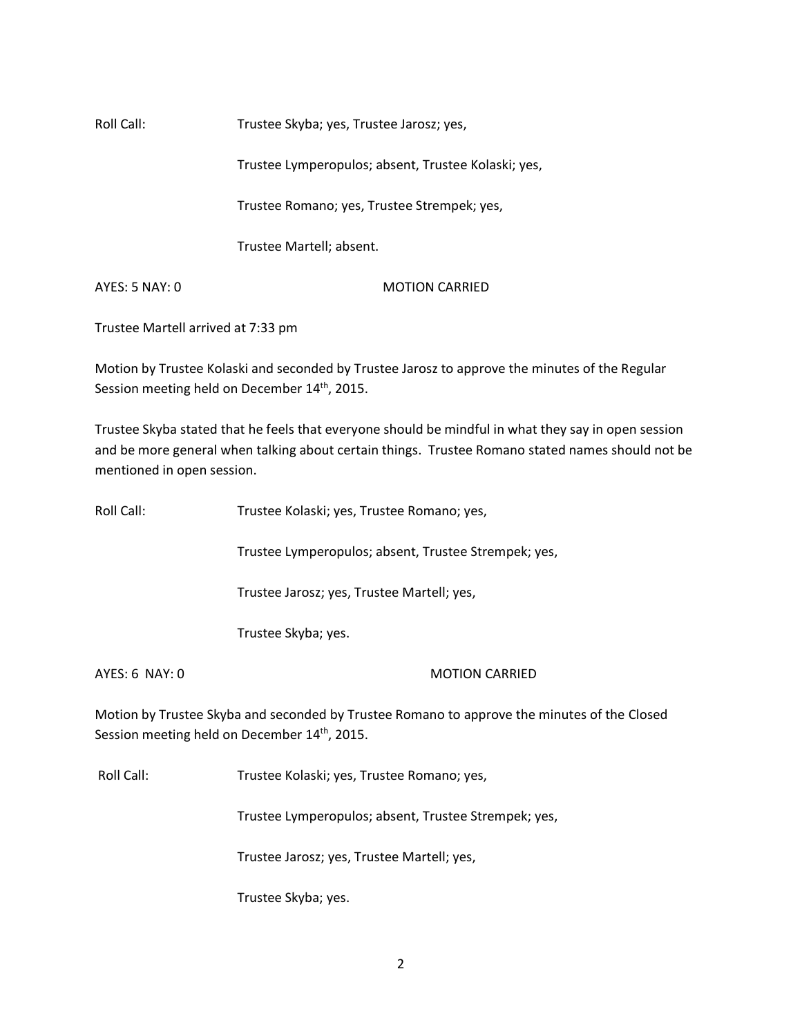Roll Call: Trustee Skyba; yes, Trustee Jarosz; yes,

Trustee Lymperopulos; absent, Trustee Kolaski; yes,

Trustee Romano; yes, Trustee Strempek; yes,

Trustee Martell; absent.

AYES: 5 NAY: 0 MOTION CARRIED

Trustee Martell arrived at 7:33 pm

Motion by Trustee Kolaski and seconded by Trustee Jarosz to approve the minutes of the Regular Session meeting held on December 14<sup>th</sup>, 2015.

Trustee Skyba stated that he feels that everyone should be mindful in what they say in open session and be more general when talking about certain things. Trustee Romano stated names should not be mentioned in open session.

| Roll Call:       | Trustee Kolaski; yes, Trustee Romano; yes,                                                                                                               |
|------------------|----------------------------------------------------------------------------------------------------------------------------------------------------------|
|                  | Trustee Lymperopulos; absent, Trustee Strempek; yes,                                                                                                     |
|                  | Trustee Jarosz; yes, Trustee Martell; yes,                                                                                                               |
|                  | Trustee Skyba; yes.                                                                                                                                      |
| $AYES: 6$ NAY: 0 | <b>MOTION CARRIED</b>                                                                                                                                    |
|                  | Motion by Trustee Skyba and seconded by Trustee Romano to approve the minutes of the Closed<br>Session meeting held on December 14 <sup>th</sup> , 2015. |

Roll Call: Trustee Kolaski; yes, Trustee Romano; yes,

Trustee Lymperopulos; absent, Trustee Strempek; yes,

Trustee Jarosz; yes, Trustee Martell; yes,

Trustee Skyba; yes.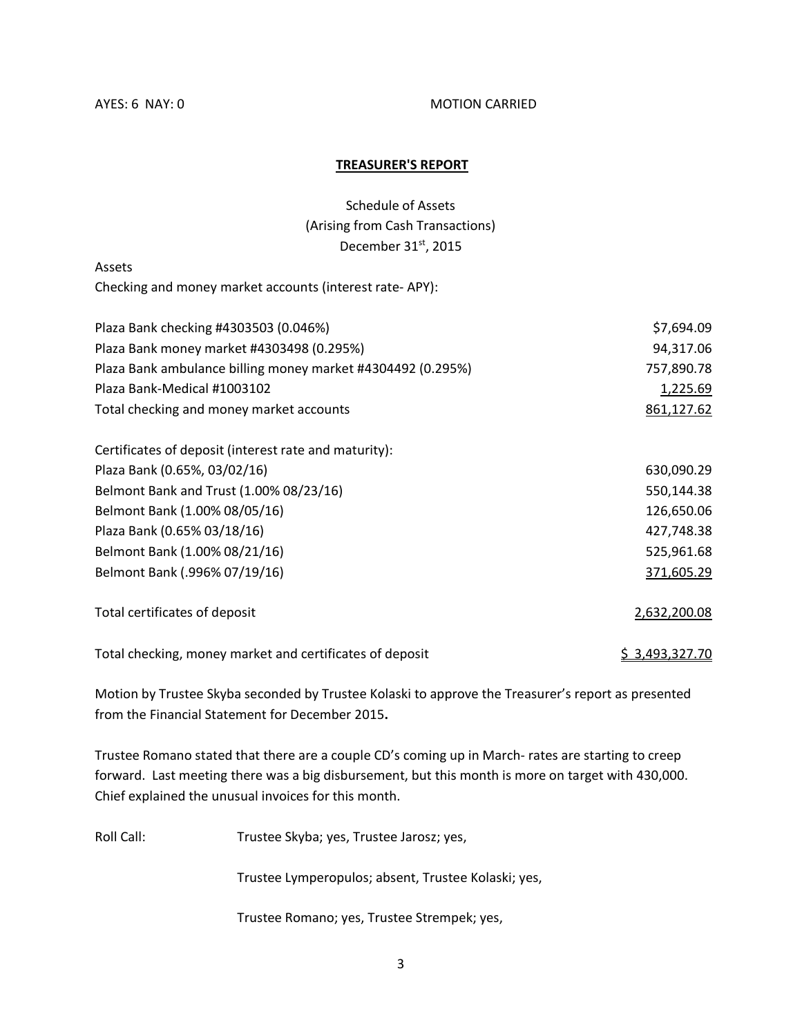#### AYES: 6 NAY: 0 MOTION CARRIED

#### **TREASURER'S REPORT**

Schedule of Assets (Arising from Cash Transactions) December 31<sup>st</sup>, 2015

Assets

Checking and money market accounts (interest rate- APY):

| Plaza Bank checking #4303503 (0.046%)                       | \$7,694.09     |
|-------------------------------------------------------------|----------------|
| Plaza Bank money market #4303498 (0.295%)                   | 94,317.06      |
| Plaza Bank ambulance billing money market #4304492 (0.295%) | 757,890.78     |
| Plaza Bank-Medical #1003102                                 | 1,225.69       |
| Total checking and money market accounts                    | 861,127.62     |
| Certificates of deposit (interest rate and maturity):       |                |
| Plaza Bank (0.65%, 03/02/16)                                | 630,090.29     |
| Belmont Bank and Trust (1.00% 08/23/16)                     | 550,144.38     |
| Belmont Bank (1.00% 08/05/16)                               | 126,650.06     |
| Plaza Bank (0.65% 03/18/16)                                 | 427,748.38     |
| Belmont Bank (1.00% 08/21/16)                               | 525,961.68     |
| Belmont Bank (.996% 07/19/16)                               | 371,605.29     |
| Total certificates of deposit                               | 2,632,200.08   |
| Total checking, money market and certificates of deposit    | \$3,493,327.70 |

Motion by Trustee Skyba seconded by Trustee Kolaski to approve the Treasurer's report as presented from the Financial Statement for December 2015**.** 

Trustee Romano stated that there are a couple CD's coming up in March- rates are starting to creep forward. Last meeting there was a big disbursement, but this month is more on target with 430,000. Chief explained the unusual invoices for this month.

Roll Call: Trustee Skyba; yes, Trustee Jarosz; yes,

Trustee Lymperopulos; absent, Trustee Kolaski; yes,

Trustee Romano; yes, Trustee Strempek; yes,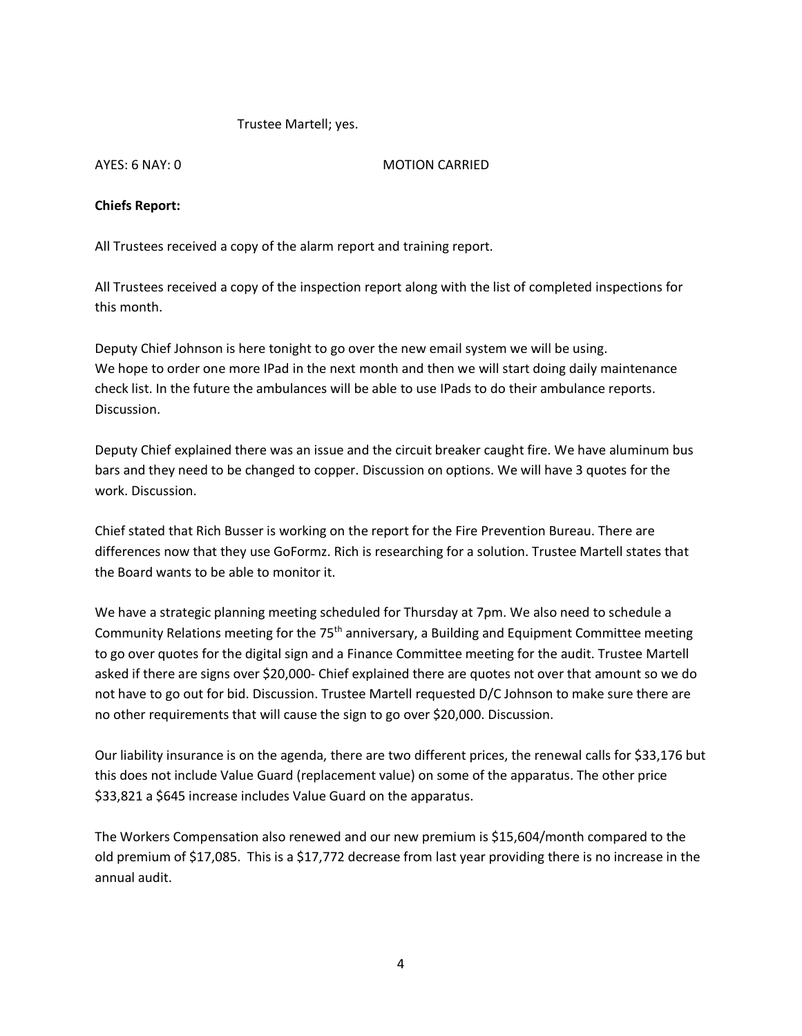#### Trustee Martell; yes.

#### AYES: 6 NAY: 0 MOTION CARRIED

### **Chiefs Report:**

All Trustees received a copy of the alarm report and training report.

All Trustees received a copy of the inspection report along with the list of completed inspections for this month.

Deputy Chief Johnson is here tonight to go over the new email system we will be using. We hope to order one more IPad in the next month and then we will start doing daily maintenance check list. In the future the ambulances will be able to use IPads to do their ambulance reports. Discussion.

Deputy Chief explained there was an issue and the circuit breaker caught fire. We have aluminum bus bars and they need to be changed to copper. Discussion on options. We will have 3 quotes for the work. Discussion.

Chief stated that Rich Busser is working on the report for the Fire Prevention Bureau. There are differences now that they use GoFormz. Rich is researching for a solution. Trustee Martell states that the Board wants to be able to monitor it.

We have a strategic planning meeting scheduled for Thursday at 7pm. We also need to schedule a Community Relations meeting for the  $75<sup>th</sup>$  anniversary, a Building and Equipment Committee meeting to go over quotes for the digital sign and a Finance Committee meeting for the audit. Trustee Martell asked if there are signs over \$20,000- Chief explained there are quotes not over that amount so we do not have to go out for bid. Discussion. Trustee Martell requested D/C Johnson to make sure there are no other requirements that will cause the sign to go over \$20,000. Discussion.

Our liability insurance is on the agenda, there are two different prices, the renewal calls for \$33,176 but this does not include Value Guard (replacement value) on some of the apparatus. The other price \$33,821 a \$645 increase includes Value Guard on the apparatus.

The Workers Compensation also renewed and our new premium is \$15,604/month compared to the old premium of \$17,085. This is a \$17,772 decrease from last year providing there is no increase in the annual audit.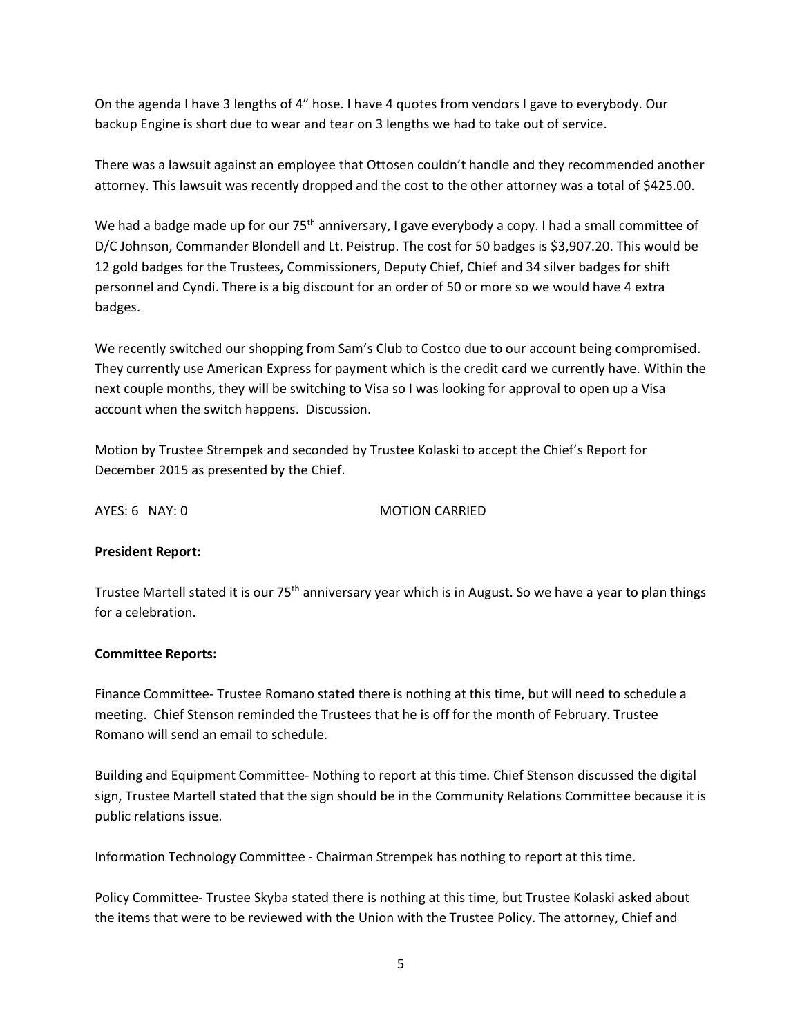On the agenda I have 3 lengths of 4" hose. I have 4 quotes from vendors I gave to everybody. Our backup Engine is short due to wear and tear on 3 lengths we had to take out of service.

There was a lawsuit against an employee that Ottosen couldn't handle and they recommended another attorney. This lawsuit was recently dropped and the cost to the other attorney was a total of \$425.00.

We had a badge made up for our 75<sup>th</sup> anniversary, I gave everybody a copy. I had a small committee of D/C Johnson, Commander Blondell and Lt. Peistrup. The cost for 50 badges is \$3,907.20. This would be 12 gold badges for the Trustees, Commissioners, Deputy Chief, Chief and 34 silver badges for shift personnel and Cyndi. There is a big discount for an order of 50 or more so we would have 4 extra badges.

We recently switched our shopping from Sam's Club to Costco due to our account being compromised. They currently use American Express for payment which is the credit card we currently have. Within the next couple months, they will be switching to Visa so I was looking for approval to open up a Visa account when the switch happens. Discussion.

Motion by Trustee Strempek and seconded by Trustee Kolaski to accept the Chief's Report for December 2015 as presented by the Chief.

AYES: 6 NAY: 0 MOTION CARRIED

### **President Report:**

Trustee Martell stated it is our 75<sup>th</sup> anniversary year which is in August. So we have a year to plan things for a celebration.

### **Committee Reports:**

Finance Committee- Trustee Romano stated there is nothing at this time, but will need to schedule a meeting. Chief Stenson reminded the Trustees that he is off for the month of February. Trustee Romano will send an email to schedule.

Building and Equipment Committee- Nothing to report at this time. Chief Stenson discussed the digital sign, Trustee Martell stated that the sign should be in the Community Relations Committee because it is public relations issue.

Information Technology Committee - Chairman Strempek has nothing to report at this time.

Policy Committee- Trustee Skyba stated there is nothing at this time, but Trustee Kolaski asked about the items that were to be reviewed with the Union with the Trustee Policy. The attorney, Chief and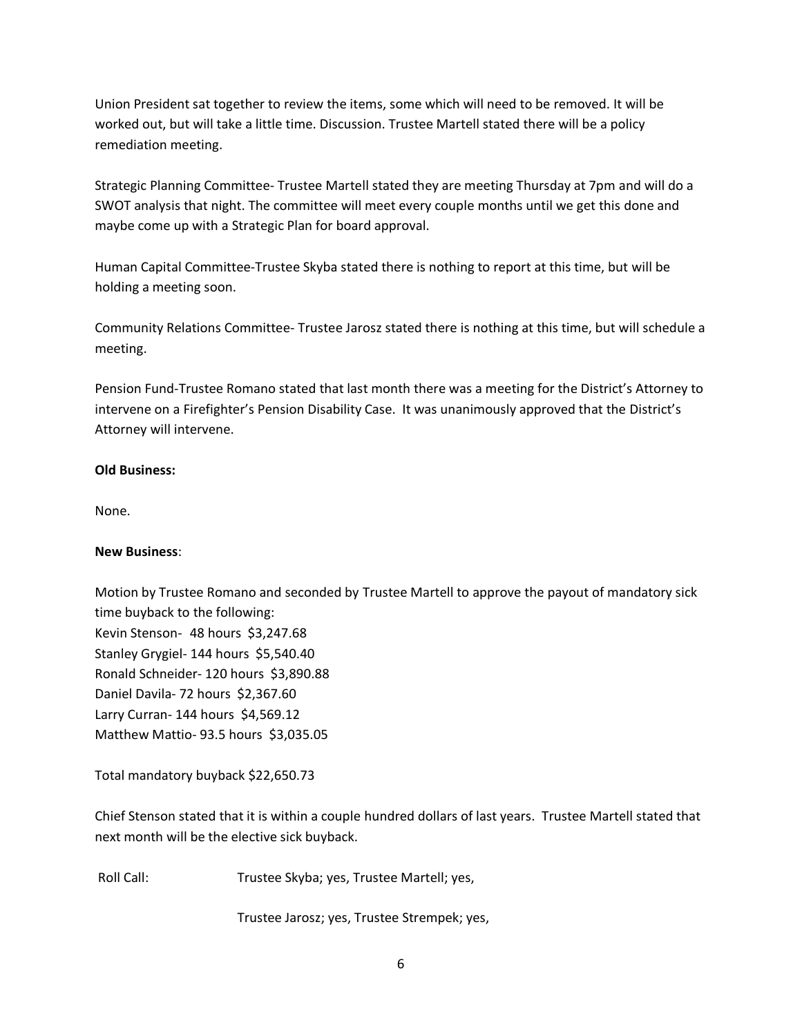Union President sat together to review the items, some which will need to be removed. It will be worked out, but will take a little time. Discussion. Trustee Martell stated there will be a policy remediation meeting.

Strategic Planning Committee- Trustee Martell stated they are meeting Thursday at 7pm and will do a SWOT analysis that night. The committee will meet every couple months until we get this done and maybe come up with a Strategic Plan for board approval.

Human Capital Committee-Trustee Skyba stated there is nothing to report at this time, but will be holding a meeting soon.

Community Relations Committee- Trustee Jarosz stated there is nothing at this time, but will schedule a meeting.

Pension Fund-Trustee Romano stated that last month there was a meeting for the District's Attorney to intervene on a Firefighter's Pension Disability Case. It was unanimously approved that the District's Attorney will intervene.

## **Old Business:**

None.

### **New Business**:

Motion by Trustee Romano and seconded by Trustee Martell to approve the payout of mandatory sick time buyback to the following: Kevin Stenson- 48 hours \$3,247.68 Stanley Grygiel- 144 hours \$5,540.40 Ronald Schneider- 120 hours \$3,890.88 Daniel Davila- 72 hours \$2,367.60 Larry Curran- 144 hours \$4,569.12 Matthew Mattio- 93.5 hours \$3,035.05

Total mandatory buyback \$22,650.73

Chief Stenson stated that it is within a couple hundred dollars of last years. Trustee Martell stated that next month will be the elective sick buyback.

Roll Call: Trustee Skyba; yes, Trustee Martell; yes,

Trustee Jarosz; yes, Trustee Strempek; yes,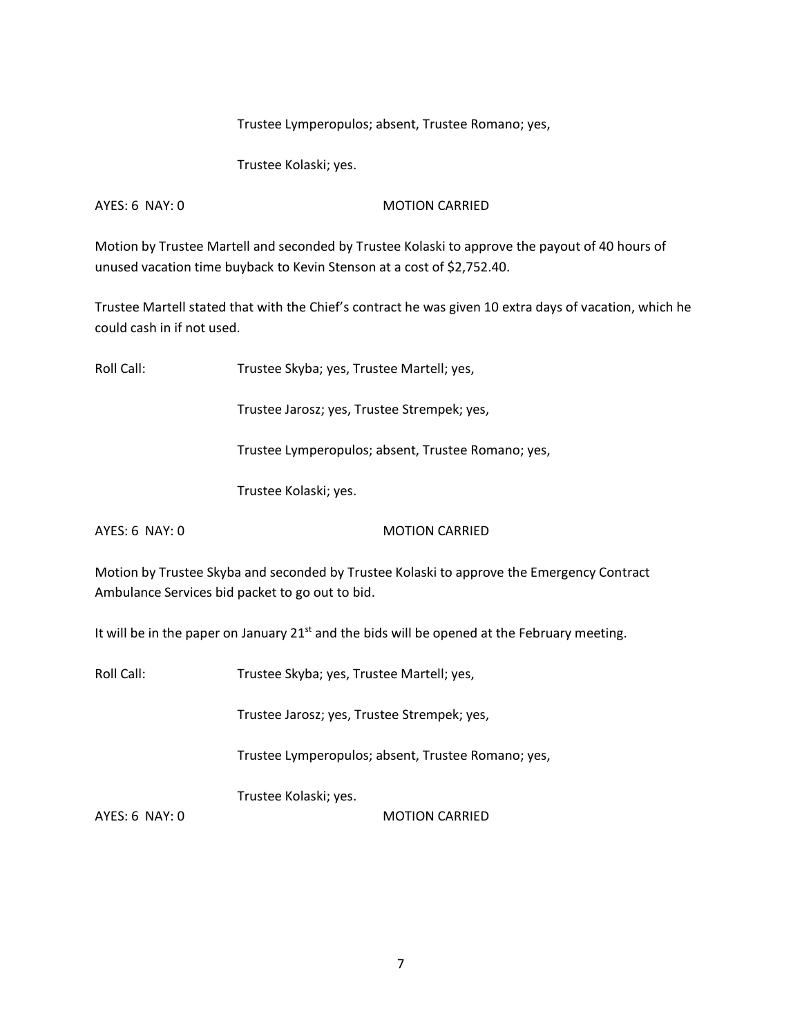Trustee Lymperopulos; absent, Trustee Romano; yes,

Trustee Kolaski; yes.

AYES: 6 NAY: 0 MOTION CARRIED

Motion by Trustee Martell and seconded by Trustee Kolaski to approve the payout of 40 hours of unused vacation time buyback to Kevin Stenson at a cost of \$2,752.40.

Trustee Martell stated that with the Chief's contract he was given 10 extra days of vacation, which he could cash in if not used.

Roll Call: Trustee Skyba; yes, Trustee Martell; yes,

Trustee Jarosz; yes, Trustee Strempek; yes,

Trustee Lymperopulos; absent, Trustee Romano; yes,

Trustee Kolaski; yes.

AYES: 6 NAY: 0 MOTION CARRIED

Motion by Trustee Skyba and seconded by Trustee Kolaski to approve the Emergency Contract Ambulance Services bid packet to go out to bid.

It will be in the paper on January  $21<sup>st</sup>$  and the bids will be opened at the February meeting.

Roll Call: Trustee Skyba; yes, Trustee Martell; yes,

Trustee Jarosz; yes, Trustee Strempek; yes,

Trustee Lymperopulos; absent, Trustee Romano; yes,

Trustee Kolaski; yes.

AYES: 6 NAY: 0 MOTION CARRIED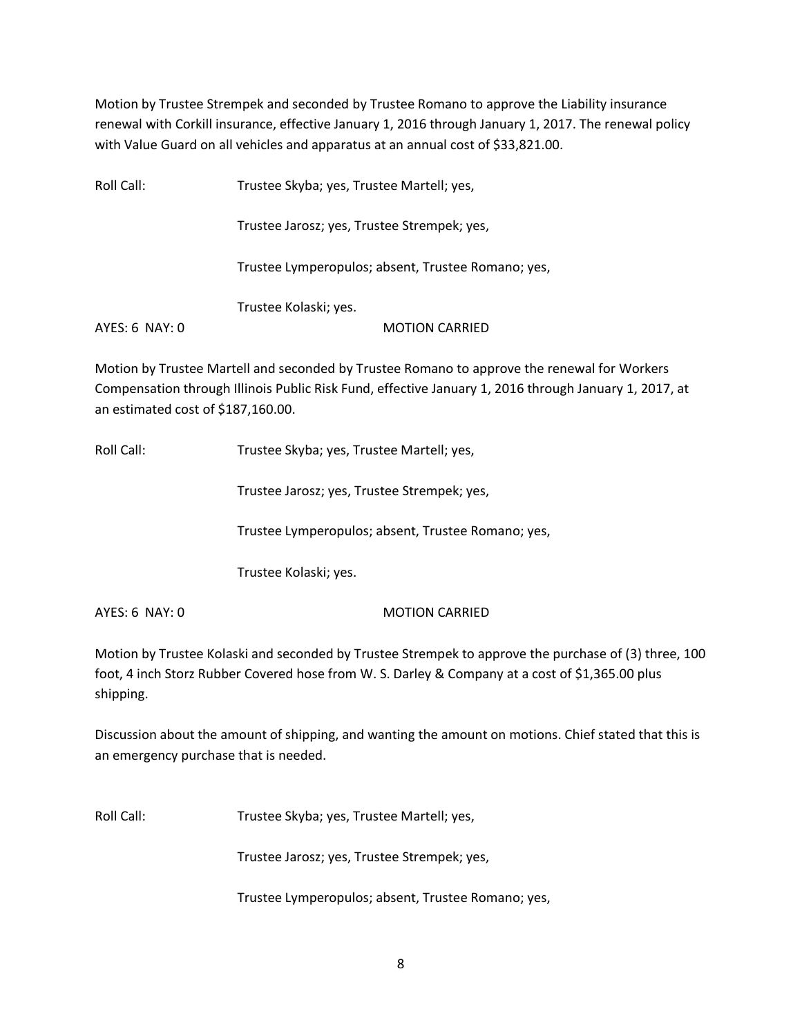Motion by Trustee Strempek and seconded by Trustee Romano to approve the Liability insurance renewal with Corkill insurance, effective January 1, 2016 through January 1, 2017. The renewal policy with Value Guard on all vehicles and apparatus at an annual cost of \$33,821.00.

| Roll Call:     | Trustee Skyba; yes, Trustee Martell; yes,          |
|----------------|----------------------------------------------------|
|                | Trustee Jarosz; yes, Trustee Strempek; yes,        |
|                | Trustee Lymperopulos; absent, Trustee Romano; yes, |
|                | Trustee Kolaski; yes.                              |
| AYES: 6 NAY: 0 | <b>MOTION CARRIED</b>                              |

Motion by Trustee Martell and seconded by Trustee Romano to approve the renewal for Workers Compensation through Illinois Public Risk Fund, effective January 1, 2016 through January 1, 2017, at an estimated cost of \$187,160.00.

Roll Call: Trustee Skyba; yes, Trustee Martell; yes,

Trustee Jarosz; yes, Trustee Strempek; yes,

Trustee Lymperopulos; absent, Trustee Romano; yes,

Trustee Kolaski; yes.

AYES: 6 NAY: 0 MOTION CARRIED

Motion by Trustee Kolaski and seconded by Trustee Strempek to approve the purchase of (3) three, 100 foot, 4 inch Storz Rubber Covered hose from W. S. Darley & Company at a cost of \$1,365.00 plus shipping.

Discussion about the amount of shipping, and wanting the amount on motions. Chief stated that this is an emergency purchase that is needed.

Roll Call: Trustee Skyba; yes, Trustee Martell; yes,

Trustee Jarosz; yes, Trustee Strempek; yes,

Trustee Lymperopulos; absent, Trustee Romano; yes,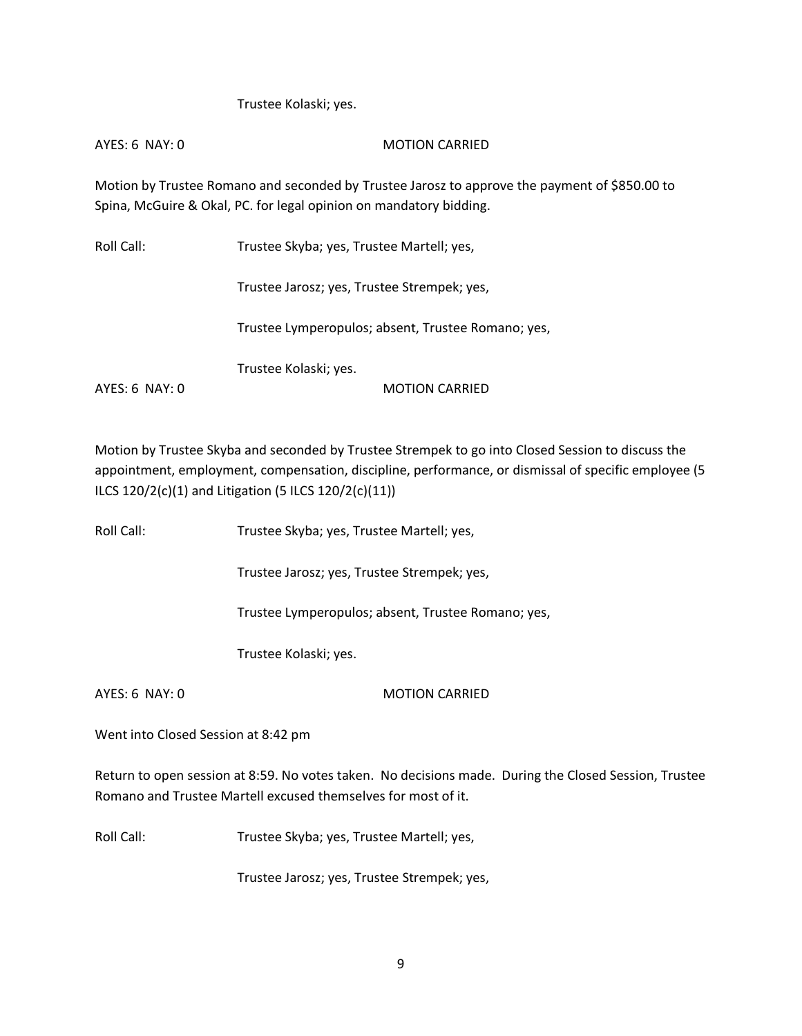Trustee Kolaski; yes.

AYES: 6 NAY: 0 MOTION CARRIED

Motion by Trustee Romano and seconded by Trustee Jarosz to approve the payment of \$850.00 to Spina, McGuire & Okal, PC. for legal opinion on mandatory bidding.

| Roll Call:     | Trustee Skyba; yes, Trustee Martell; yes,          |
|----------------|----------------------------------------------------|
|                | Trustee Jarosz; yes, Trustee Strempek; yes,        |
|                | Trustee Lymperopulos; absent, Trustee Romano; yes, |
|                | Trustee Kolaski; yes.                              |
| AYES: 6 NAY: 0 | <b>MOTION CARRIED</b>                              |

Motion by Trustee Skyba and seconded by Trustee Strempek to go into Closed Session to discuss the appointment, employment, compensation, discipline, performance, or dismissal of specific employee (5 ILCS 120/2(c)(1) and Litigation (5 ILCS 120/2(c)(11))

Roll Call: Trustee Skyba; yes, Trustee Martell; yes,

Trustee Jarosz; yes, Trustee Strempek; yes,

Trustee Lymperopulos; absent, Trustee Romano; yes,

Trustee Kolaski; yes.

AYES: 6 NAY: 0 MOTION CARRIED

Went into Closed Session at 8:42 pm

Return to open session at 8:59. No votes taken. No decisions made. During the Closed Session, Trustee Romano and Trustee Martell excused themselves for most of it.

Roll Call: Trustee Skyba; yes, Trustee Martell; yes,

Trustee Jarosz; yes, Trustee Strempek; yes,